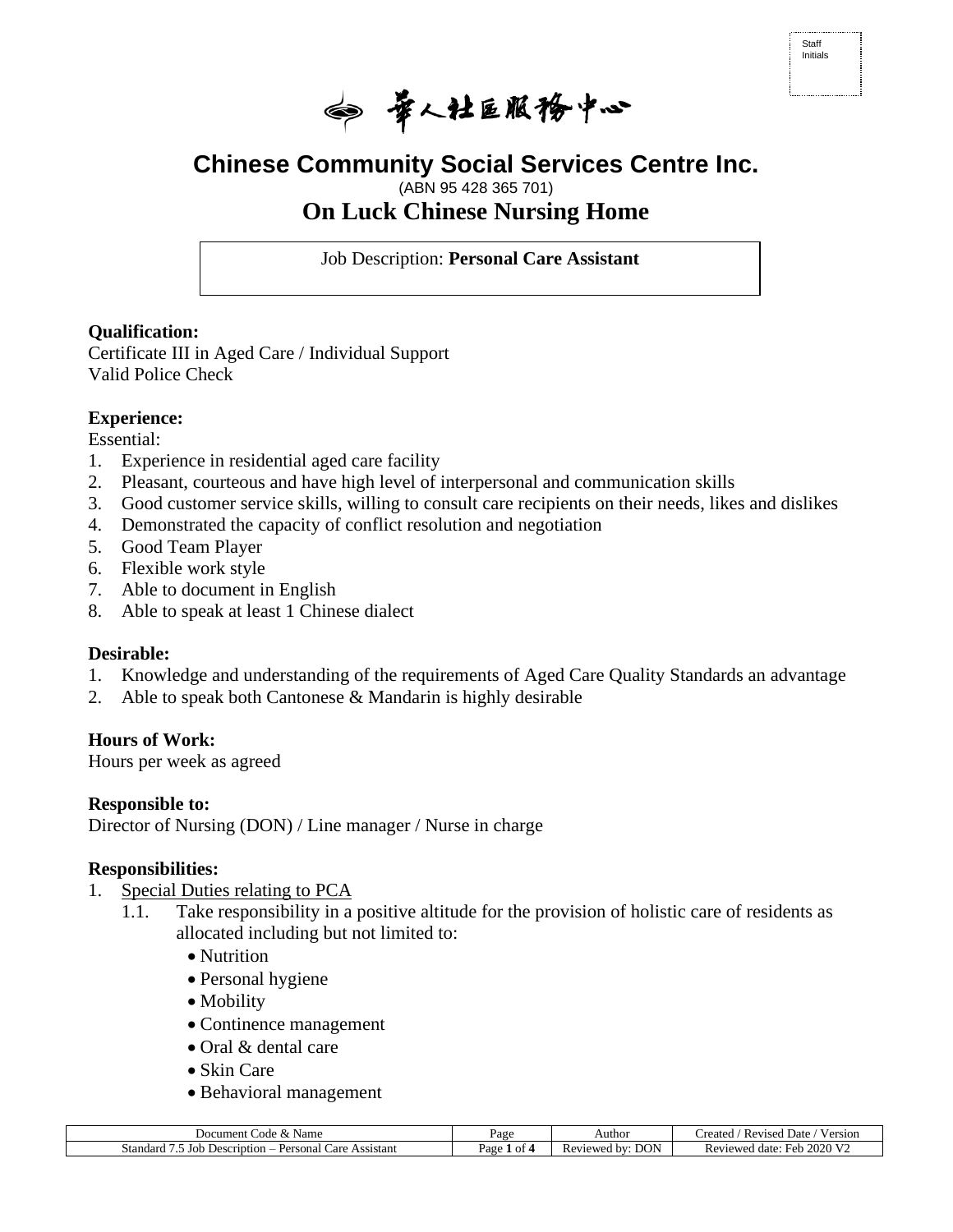

# **Chinese Community Social Services Centre Inc.**

# (ABN 95 428 365 701) **On Luck Chinese Nursing Home**

Job Description: **Personal Care Assistant** 

## **Qualification:**

Certificate III in Aged Care / Individual Support Valid Police Check

## **Experience:**

Essential:

- 1. Experience in residential aged care facility
- 2. Pleasant, courteous and have high level of interpersonal and communication skills
- 3. Good customer service skills, willing to consult care recipients on their needs, likes and dislikes
- 4. Demonstrated the capacity of conflict resolution and negotiation
- 5. Good Team Player
- 6. Flexible work style
- 7. Able to document in English
- 8. Able to speak at least 1 Chinese dialect

#### **Desirable:**

- 1. Knowledge and understanding of the requirements of Aged Care Quality Standards an advantage
- 2. Able to speak both Cantonese & Mandarin is highly desirable

# **Hours of Work:**

Hours per week as agreed

#### **Responsible to:**

Director of Nursing (DON) / Line manager / Nurse in charge

#### **Responsibilities:**

- 1. Special Duties relating to PCA
	- 1.1. Take responsibility in a positive altitude for the provision of holistic care of residents as allocated including but not limited to:
		- Nutrition
		- Personal hygiene
		- Mobility
		- Continence management
		- Oral & dental care
		- Skin Care
		- Behavioral management

| Code<br>Document<br>Name<br>v                                                  | Page          | Author                        | $\mathbf{v}$<br>Date.<br>reated<br>Version<br>Revised |
|--------------------------------------------------------------------------------|---------------|-------------------------------|-------------------------------------------------------|
| Standard<br>Assistant<br>Desci<br>Personal<br>Joh<br>Care<br>seription<br>$-1$ | $v_{\rm age}$ | <b>DON</b><br>hV'<br>Reviewed | 2020<br>T<br>date:<br>Reviewed<br>HAh<br>נוסי         |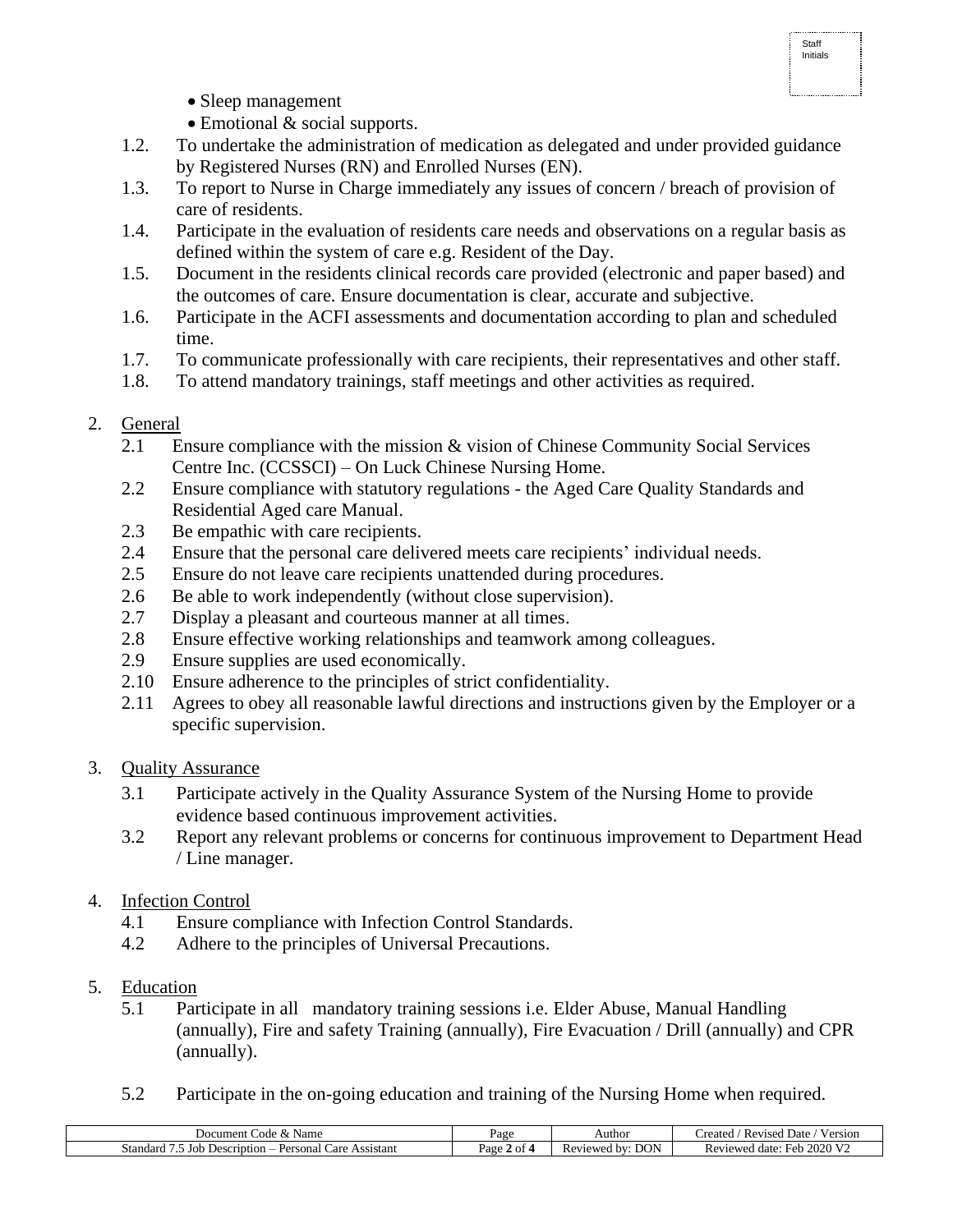- Sleep management
- Emotional & social supports.
- 1.2. To undertake the administration of medication as delegated and under provided guidance by Registered Nurses (RN) and Enrolled Nurses (EN).
- 1.3. To report to Nurse in Charge immediately any issues of concern / breach of provision of care of residents.
- 1.4. Participate in the evaluation of residents care needs and observations on a regular basis as defined within the system of care e.g. Resident of the Day.
- 1.5. Document in the residents clinical records care provided (electronic and paper based) and the outcomes of care. Ensure documentation is clear, accurate and subjective.
- 1.6. Participate in the ACFI assessments and documentation according to plan and scheduled time.
- 1.7. To communicate professionally with care recipients, their representatives and other staff.
- 1.8. To attend mandatory trainings, staff meetings and other activities as required.

# 2. General

- 2.1 Ensure compliance with the mission & vision of Chinese Community Social Services Centre Inc. (CCSSCI) – On Luck Chinese Nursing Home.
- 2.2 Ensure compliance with statutory regulations the Aged Care Quality Standards and Residential Aged care Manual.
- 2.3 Be empathic with care recipients.
- 2.4 Ensure that the personal care delivered meets care recipients' individual needs.
- 2.5 Ensure do not leave care recipients unattended during procedures.
- 2.6 Be able to work independently (without close supervision).
- 2.7 Display a pleasant and courteous manner at all times.
- 2.8 Ensure effective working relationships and teamwork among colleagues.
- 2.9 Ensure supplies are used economically.
- 2.10 Ensure adherence to the principles of strict confidentiality.
- 2.11 Agrees to obey all reasonable lawful directions and instructions given by the Employer or a specific supervision.

# 3. Quality Assurance

- 3.1 Participate actively in the Quality Assurance System of the Nursing Home to provide evidence based continuous improvement activities.
- 3.2 Report any relevant problems or concerns for continuous improvement to Department Head / Line manager.

# 4. Infection Control

- 4.1 Ensure compliance with Infection Control Standards.
- 4.2 Adhere to the principles of Universal Precautions.
- 5. Education
	- 5.1 Participate in all mandatory training sessions i.e. Elder Abuse, Manual Handling (annually), Fire and safety Training (annually), Fire Evacuation / Drill (annually) and CPR (annually).
	- 5.2 Participate in the on-going education and training of the Nursing Home when required.

| Name<br>Document<br>code<br>$\alpha$                                          | Page         | Authoi                 | Version<br>Revised<br>Date<br>reated              |
|-------------------------------------------------------------------------------|--------------|------------------------|---------------------------------------------------|
| . standard<br>∠are<br>Assıstant<br>Personal<br>Job<br>Description<br>.ա.<br>. | Page<br>. ot | DON<br>Reviewed<br>hV' | 2020 $V2$<br>Reviewed<br>Feh<br>. date:<br>- 1211 |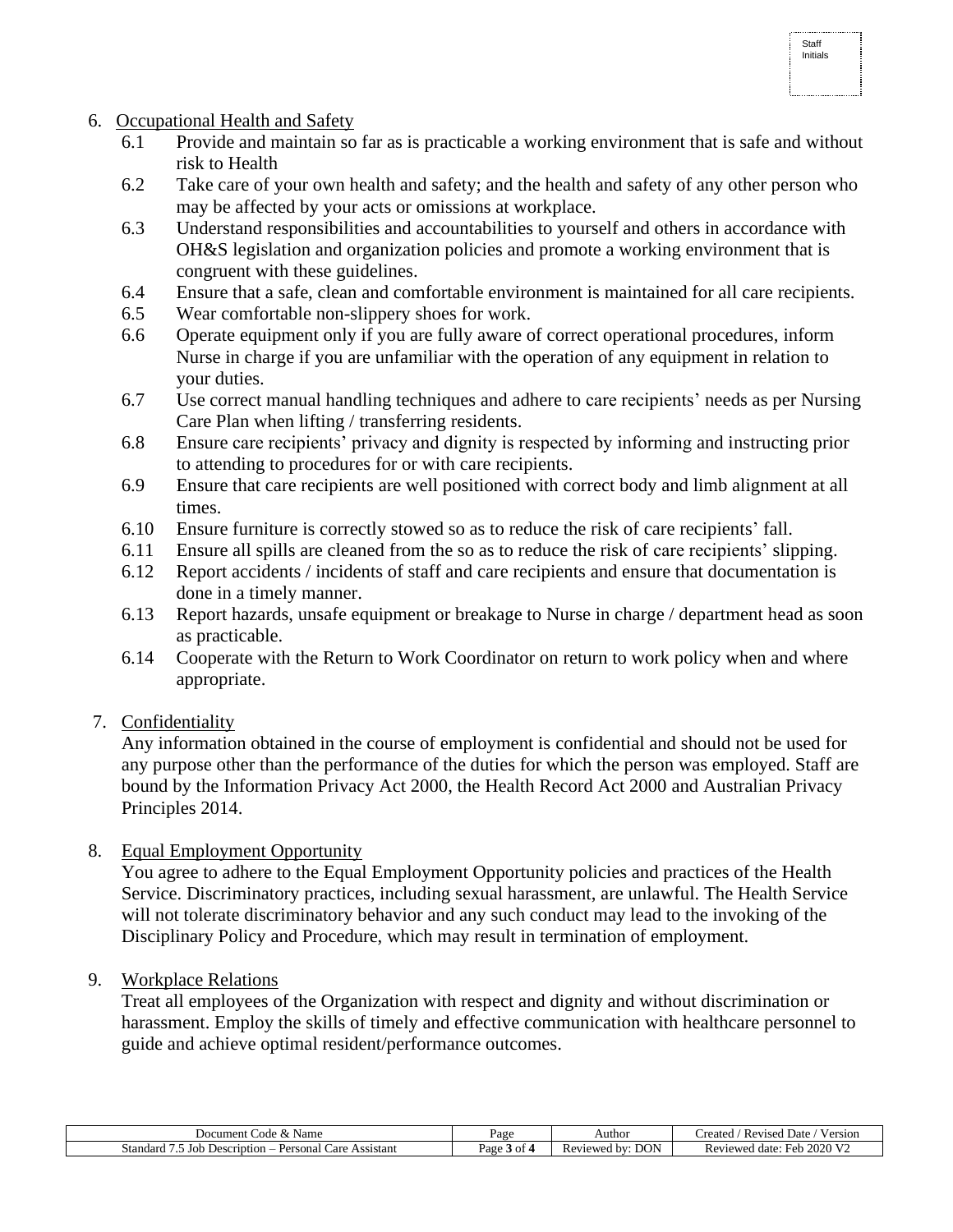- 6. Occupational Health and Safety
	- 6.1 Provide and maintain so far as is practicable a working environment that is safe and without risk to Health
	- 6.2 Take care of your own health and safety; and the health and safety of any other person who may be affected by your acts or omissions at workplace.
	- 6.3 Understand responsibilities and accountabilities to yourself and others in accordance with OH&S legislation and organization policies and promote a working environment that is congruent with these guidelines.
	- 6.4 Ensure that a safe, clean and comfortable environment is maintained for all care recipients.
	- 6.5 Wear comfortable non-slippery shoes for work.
	- 6.6 Operate equipment only if you are fully aware of correct operational procedures, inform Nurse in charge if you are unfamiliar with the operation of any equipment in relation to your duties.
	- 6.7 Use correct manual handling techniques and adhere to care recipients' needs as per Nursing Care Plan when lifting / transferring residents.
	- 6.8 Ensure care recipients' privacy and dignity is respected by informing and instructing prior to attending to procedures for or with care recipients.
	- 6.9 Ensure that care recipients are well positioned with correct body and limb alignment at all times.
	- 6.10 Ensure furniture is correctly stowed so as to reduce the risk of care recipients' fall.
	- 6.11 Ensure all spills are cleaned from the so as to reduce the risk of care recipients' slipping.
	- 6.12 Report accidents / incidents of staff and care recipients and ensure that documentation is done in a timely manner.
	- 6.13 Report hazards, unsafe equipment or breakage to Nurse in charge / department head as soon as practicable.
	- 6.14 Cooperate with the Return to Work Coordinator on return to work policy when and where appropriate.
- 7. Confidentiality

Any information obtained in the course of employment is confidential and should not be used for any purpose other than the performance of the duties for which the person was employed. Staff are bound by the Information Privacy Act 2000, the Health Record Act 2000 and Australian Privacy Principles 2014.

8. Equal Employment Opportunity

You agree to adhere to the Equal Employment Opportunity policies and practices of the Health Service. Discriminatory practices, including sexual harassment, are unlawful. The Health Service will not tolerate discriminatory behavior and any such conduct may lead to the invoking of the Disciplinary Policy and Procedure, which may result in termination of employment.

9. Workplace Relations

Treat all employees of the Organization with respect and dignity and without discrimination or harassment. Employ the skills of timely and effective communication with healthcare personnel to guide and achieve optimal resident/performance outcomes.

| $\alpha$ de<br>Name<br>Document<br>$\alpha$<br>' Cuit            | Page      | Author                                | <b>Y</b> Z<br><b>Revised Date</b><br>Version<br>reated |
|------------------------------------------------------------------|-----------|---------------------------------------|--------------------------------------------------------|
| Standard<br>Assistant<br>Description<br>Personal<br>Care<br>Jor. | Page 3 of | <b>DON</b><br>eviewed<br>l hv<br>11 C | $\Omega$ 2020 V<br>Revieweg<br>date.<br>Feb.           |